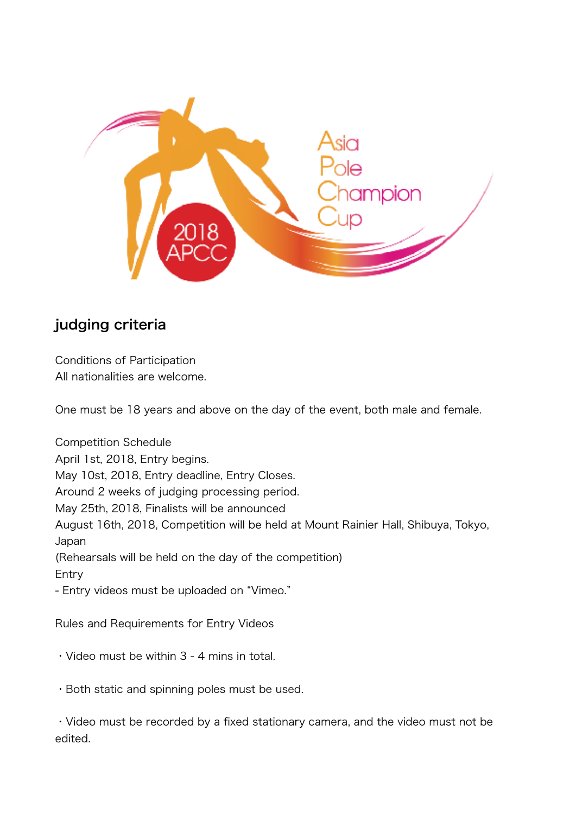

## judging criteria

Conditions of Participation All nationalities are welcome.

One must be 18 years and above on the day of the event, both male and female.

Competition Schedule April 1st, 2018, Entry begins. May 10st, 2018, Entry deadline, Entry Closes. Around 2 weeks of judging processing period. May 25th, 2018, Finalists will be announced August 16th, 2018, Competition will be held at Mount Rainier Hall, Shibuya, Tokyo, Japan (Rehearsals will be held on the day of the competition) Entry - Entry videos must be uploaded on "Vimeo."

Rules and Requirements for Entry Videos

- ・Video must be within 3 4 mins in total.
- ・Both static and spinning poles must be used.

・Video must be recorded by a fixed stationary camera, and the video must not be edited.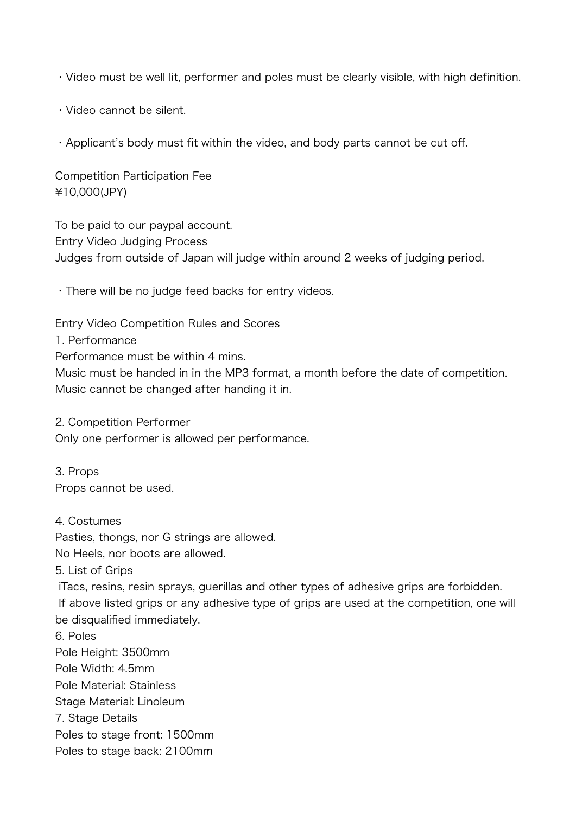・Video must be well lit, performer and poles must be clearly visible, with high definition.

・Video cannot be silent.

・Applicant's body must fit within the video, and body parts cannot be cut off.

Competition Participation Fee ¥10,000(JPY)

To be paid to our paypal account. Entry Video Judging Process Judges from outside of Japan will judge within around 2 weeks of judging period.

・There will be no judge feed backs for entry videos.

Entry Video Competition Rules and Scores

1. Performance

Performance must be within 4 mins.

Music must be handed in in the MP3 format, a month before the date of competition. Music cannot be changed after handing it in.

2. Competition Performer Only one performer is allowed per performance.

3. Props Props cannot be used.

4. Costumes

Pasties, thongs, nor G strings are allowed.

No Heels, nor boots are allowed.

5. List of Grips

 iTacs, resins, resin sprays, guerillas and other types of adhesive grips are forbidden. If above listed grips or any adhesive type of grips are used at the competition, one will be disqualified immediately.

6. Poles Pole Height: 3500mm Pole Width: 4.5mm Pole Material: Stainless Stage Material: Linoleum 7. Stage Details Poles to stage front: 1500mm Poles to stage back: 2100mm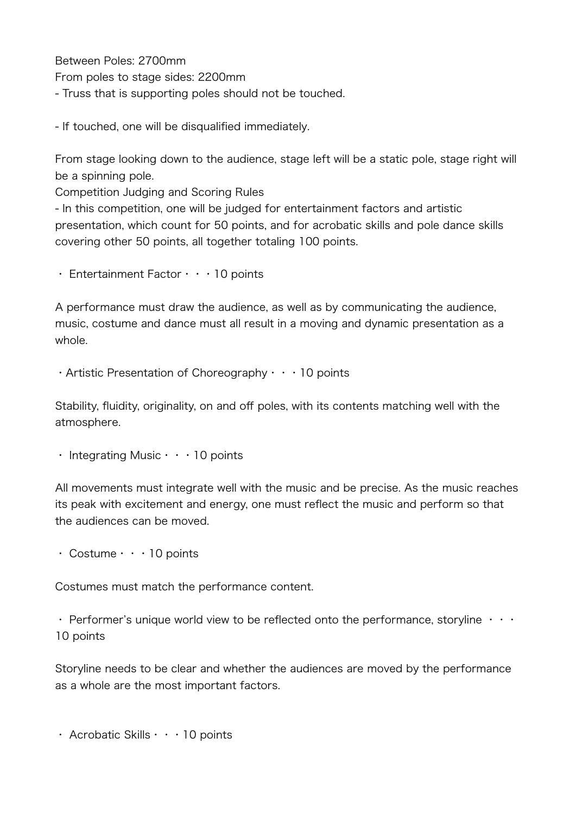Between Poles: 2700mm From poles to stage sides: 2200mm - Truss that is supporting poles should not be touched.

- If touched, one will be disqualified immediately.

From stage looking down to the audience, stage left will be a static pole, stage right will be a spinning pole.

Competition Judging and Scoring Rules

- In this competition, one will be judged for entertainment factors and artistic presentation, which count for 50 points, and for acrobatic skills and pole dance skills covering other 50 points, all together totaling 100 points.

・ Entertainment Factor・・・10 points

A performance must draw the audience, as well as by communicating the audience, music, costume and dance must all result in a moving and dynamic presentation as a whole.

 $\cdot$  Artistic Presentation of Choreography  $\cdot \cdot \cdot$  10 points

Stability, fluidity, originality, on and off poles, with its contents matching well with the atmosphere.

・ Integrating Music・・・10 points

All movements must integrate well with the music and be precise. As the music reaches its peak with excitement and energy, one must reflect the music and perform so that the audiences can be moved.

・ Costume・・・10 points

Costumes must match the performance content.

• Performer's unique world view to be reflected onto the performance, storyline  $\cdots$ 10 points

Storyline needs to be clear and whether the audiences are moved by the performance as a whole are the most important factors.

・ Acrobatic Skills・・・10 points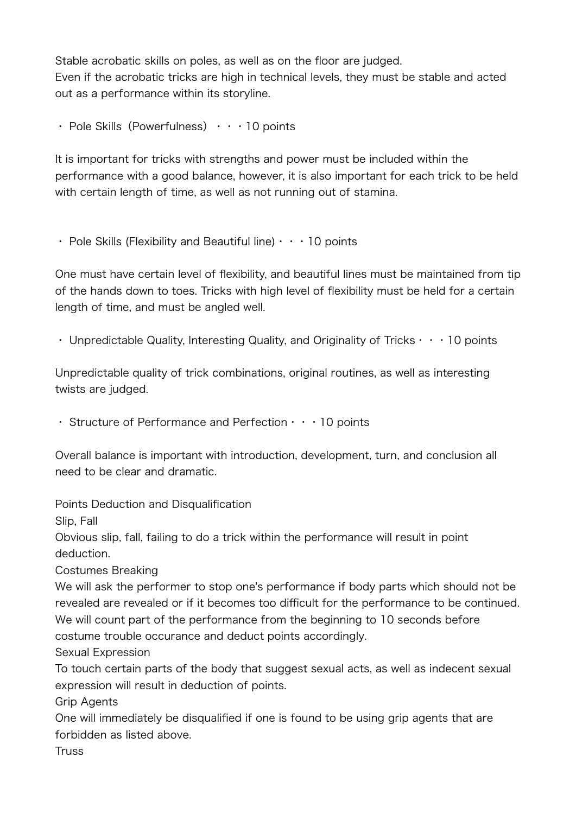Stable acrobatic skills on poles, as well as on the floor are judged. Even if the acrobatic tricks are high in technical levels, they must be stable and acted out as a performance within its storyline.

• Pole Skills (Powerfulness)  $\cdot \cdot \cdot$  10 points

It is important for tricks with strengths and power must be included within the performance with a good balance, however, it is also important for each trick to be held with certain length of time, as well as not running out of stamina.

• Pole Skills (Flexibility and Beautiful line)  $\cdot \cdot \cdot$  10 points

One must have certain level of flexibility, and beautiful lines must be maintained from tip of the hands down to toes. Tricks with high level of flexibility must be held for a certain length of time, and must be angled well.

• Unpredictable Quality, Interesting Quality, and Originality of Tricks  $\cdots$  10 points

Unpredictable quality of trick combinations, original routines, as well as interesting twists are judged.

 $\cdot$  Structure of Performance and Perfection  $\cdot \cdot \cdot$  10 points

Overall balance is important with introduction, development, turn, and conclusion all need to be clear and dramatic.

Points Deduction and Disqualification

Slip, Fall

Obvious slip, fall, failing to do a trick within the performance will result in point deduction.

Costumes Breaking

We will ask the performer to stop one's performance if body parts which should not be revealed are revealed or if it becomes too difficult for the performance to be continued. We will count part of the performance from the beginning to 10 seconds before costume trouble occurance and deduct points accordingly.

Sexual Expression

To touch certain parts of the body that suggest sexual acts, as well as indecent sexual expression will result in deduction of points.

Grip Agents

One will immediately be disqualified if one is found to be using grip agents that are forbidden as listed above.

**Truss**